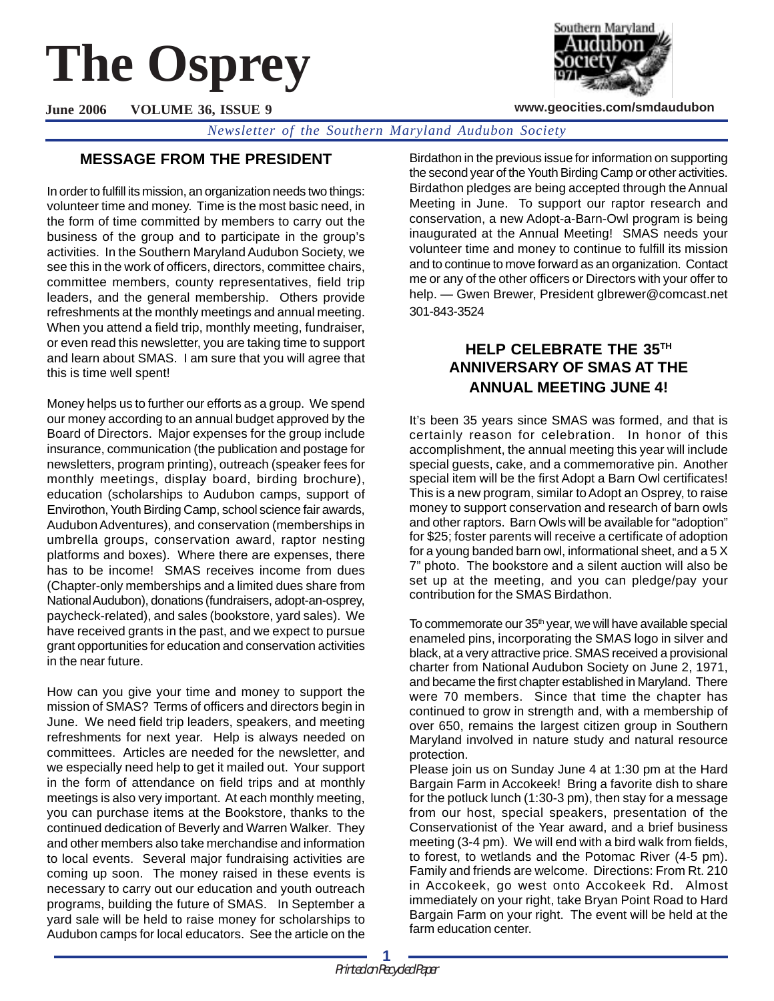# **The Osprey**

**June 2006 VOLUME 36, ISSUE 9**

*Newsletter of the Southern Maryland Audubon Society*

# **MESSAGE FROM THE PRESIDENT**

In order to fulfill its mission, an organization needs two things: volunteer time and money. Time is the most basic need, in the form of time committed by members to carry out the business of the group and to participate in the group's activities. In the Southern Maryland Audubon Society, we see this in the work of officers, directors, committee chairs, committee members, county representatives, field trip leaders, and the general membership. Others provide refreshments at the monthly meetings and annual meeting. When you attend a field trip, monthly meeting, fundraiser, or even read this newsletter, you are taking time to support and learn about SMAS. I am sure that you will agree that this is time well spent!

Money helps us to further our efforts as a group. We spend our money according to an annual budget approved by the Board of Directors. Major expenses for the group include insurance, communication (the publication and postage for newsletters, program printing), outreach (speaker fees for monthly meetings, display board, birding brochure), education (scholarships to Audubon camps, support of Envirothon, Youth Birding Camp, school science fair awards, Audubon Adventures), and conservation (memberships in umbrella groups, conservation award, raptor nesting platforms and boxes). Where there are expenses, there has to be income! SMAS receives income from dues (Chapter-only memberships and a limited dues share from National Audubon), donations (fundraisers, adopt-an-osprey, paycheck-related), and sales (bookstore, yard sales). We have received grants in the past, and we expect to pursue grant opportunities for education and conservation activities in the near future.

How can you give your time and money to support the mission of SMAS? Terms of officers and directors begin in June. We need field trip leaders, speakers, and meeting refreshments for next year. Help is always needed on committees. Articles are needed for the newsletter, and we especially need help to get it mailed out. Your support in the form of attendance on field trips and at monthly meetings is also very important. At each monthly meeting, you can purchase items at the Bookstore, thanks to the continued dedication of Beverly and Warren Walker. They and other members also take merchandise and information to local events. Several major fundraising activities are coming up soon. The money raised in these events is necessary to carry out our education and youth outreach programs, building the future of SMAS. In September a yard sale will be held to raise money for scholarships to Audubon camps for local educators. See the article on the

Birdathon in the previous issue for information on supporting the second year of the Youth Birding Camp or other activities. Birdathon pledges are being accepted through the Annual Meeting in June. To support our raptor research and conservation, a new Adopt-a-Barn-Owl program is being inaugurated at the Annual Meeting! SMAS needs your volunteer time and money to continue to fulfill its mission and to continue to move forward as an organization. Contact me or any of the other officers or Directors with your offer to help. — Gwen Brewer, President glbrewer@comcast.net 301-843-3524

# **HELP CELEBRATE THE 35TH ANNIVERSARY OF SMAS AT THE ANNUAL MEETING JUNE 4!**

It's been 35 years since SMAS was formed, and that is certainly reason for celebration. In honor of this accomplishment, the annual meeting this year will include special guests, cake, and a commemorative pin. Another special item will be the first Adopt a Barn Owl certificates! This is a new program, similar to Adopt an Osprey, to raise money to support conservation and research of barn owls and other raptors. Barn Owls will be available for "adoption" for \$25; foster parents will receive a certificate of adoption for a young banded barn owl, informational sheet, and a 5 X 7" photo. The bookstore and a silent auction will also be set up at the meeting, and you can pledge/pay your contribution for the SMAS Birdathon.

To commemorate our  $35<sup>th</sup>$  year, we will have available special enameled pins, incorporating the SMAS logo in silver and black, at a very attractive price.SMAS received a provisional charter from National Audubon Society on June 2, 1971, and became the first chapter established in Maryland. There were 70 members. Since that time the chapter has continued to grow in strength and, with a membership of over 650, remains the largest citizen group in Southern Maryland involved in nature study and natural resource protection.

Please join us on Sunday June 4 at 1:30 pm at the Hard Bargain Farm in Accokeek! Bring a favorite dish to share for the potluck lunch (1:30-3 pm), then stay for a message from our host, special speakers, presentation of the Conservationist of the Year award, and a brief business meeting (3-4 pm). We will end with a bird walk from fields, to forest, to wetlands and the Potomac River (4-5 pm). Family and friends are welcome. Directions: From Rt. 210 in Accokeek, go west onto Accokeek Rd. Almost immediately on your right, take Bryan Point Road to Hard Bargain Farm on your right. The event will be held at the farm education center.



**www.geocities.com/smdaudubon**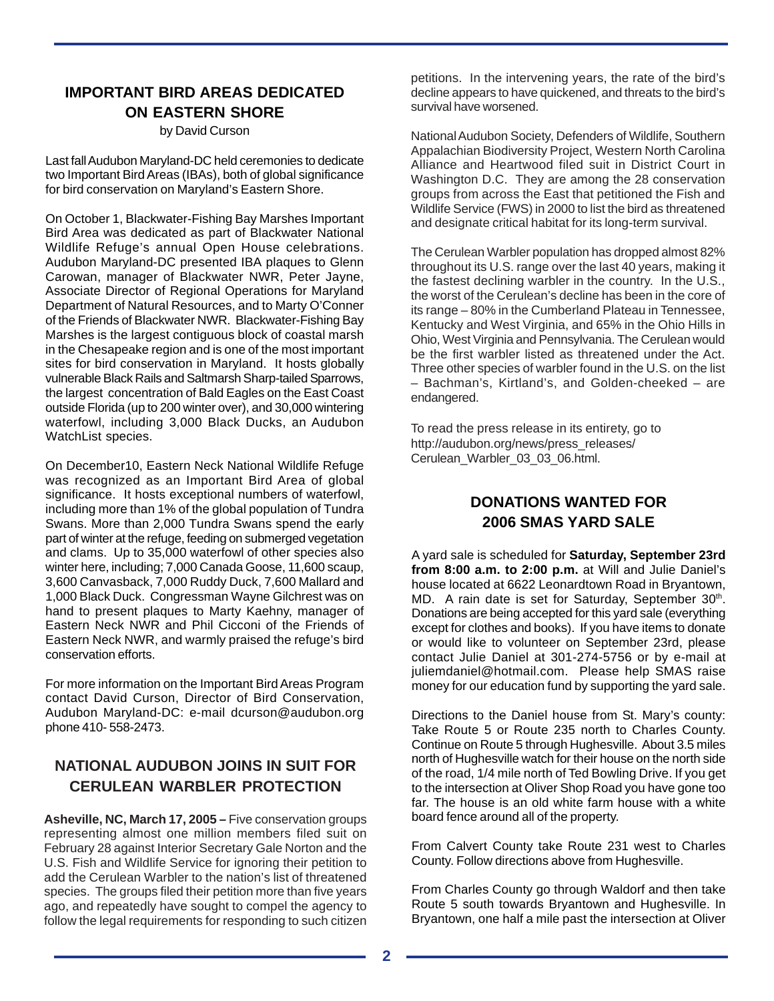# **IMPORTANT BIRD AREAS DEDICATED ON EASTERN SHORE**

#### by David Curson

Last fall Audubon Maryland-DC held ceremonies to dedicate two Important Bird Areas (IBAs), both of global significance for bird conservation on Maryland's Eastern Shore.

On October 1, Blackwater-Fishing Bay Marshes Important Bird Area was dedicated as part of Blackwater National Wildlife Refuge's annual Open House celebrations. Audubon Maryland-DC presented IBA plaques to Glenn Carowan, manager of Blackwater NWR, Peter Jayne, Associate Director of Regional Operations for Maryland Department of Natural Resources, and to Marty O'Conner of the Friends of Blackwater NWR. Blackwater-Fishing Bay Marshes is the largest contiguous block of coastal marsh in the Chesapeake region and is one of the most important sites for bird conservation in Maryland. It hosts globally vulnerable Black Rails and Saltmarsh Sharp-tailed Sparrows, the largest concentration of Bald Eagles on the East Coast outside Florida (up to 200 winter over), and 30,000 wintering waterfowl, including 3,000 Black Ducks, an Audubon WatchList species.

On December10, Eastern Neck National Wildlife Refuge was recognized as an Important Bird Area of global significance. It hosts exceptional numbers of waterfowl, including more than 1% of the global population of Tundra Swans. More than 2,000 Tundra Swans spend the early part of winter at the refuge, feeding on submerged vegetation and clams. Up to 35,000 waterfowl of other species also winter here, including; 7,000 Canada Goose, 11,600 scaup, 3,600 Canvasback, 7,000 Ruddy Duck, 7,600 Mallard and 1,000 Black Duck. Congressman Wayne Gilchrest was on hand to present plaques to Marty Kaehny, manager of Eastern Neck NWR and Phil Cicconi of the Friends of Eastern Neck NWR, and warmly praised the refuge's bird conservation efforts.

For more information on the Important Bird Areas Program contact David Curson, Director of Bird Conservation, Audubon Maryland-DC: e-mail dcurson@audubon.org phone 410- 558-2473.

# **NATIONAL AUDUBON JOINS IN SUIT FOR CERULEAN WARBLER PROTECTION**

**Asheville, NC, March 17, 2005 –** Five conservation groups representing almost one million members filed suit on February 28 against Interior Secretary Gale Norton and the U.S. Fish and Wildlife Service for ignoring their petition to add the Cerulean Warbler to the nation's list of threatened species. The groups filed their petition more than five years ago, and repeatedly have sought to compel the agency to follow the legal requirements for responding to such citizen

petitions. In the intervening years, the rate of the bird's decline appears to have quickened, and threats to the bird's survival have worsened.

National Audubon Society, Defenders of Wildlife, Southern Appalachian Biodiversity Project, Western North Carolina Alliance and Heartwood filed suit in District Court in Washington D.C. They are among the 28 conservation groups from across the East that petitioned the Fish and Wildlife Service (FWS) in 2000 to list the bird as threatened and designate critical habitat for its long-term survival.

The Cerulean Warbler population has dropped almost 82% throughout its U.S. range over the last 40 years, making it the fastest declining warbler in the country. In the U.S., the worst of the Cerulean's decline has been in the core of its range – 80% in the Cumberland Plateau in Tennessee, Kentucky and West Virginia, and 65% in the Ohio Hills in Ohio, West Virginia and Pennsylvania. The Cerulean would be the first warbler listed as threatened under the Act. Three other species of warbler found in the U.S. on the list – Bachman's, Kirtland's, and Golden-cheeked – are endangered.

To read the press release in its entirety, go to http://audubon.org/news/press\_releases/ Cerulean\_Warbler\_03\_03\_06.html.

## **DONATIONS WANTED FOR 2006 SMAS YARD SALE**

A yard sale is scheduled for **Saturday, September 23rd from 8:00 a.m. to 2:00 p.m.** at Will and Julie Daniel's house located at 6622 Leonardtown Road in Bryantown, MD. A rain date is set for Saturday, September 30th. Donations are being accepted for this yard sale (everything except for clothes and books). If you have items to donate or would like to volunteer on September 23rd, please contact Julie Daniel at 301-274-5756 or by e-mail at juliemdaniel@hotmail.com. Please help SMAS raise money for our education fund by supporting the yard sale.

Directions to the Daniel house from St. Mary's county: Take Route 5 or Route 235 north to Charles County. Continue on Route 5 through Hughesville. About 3.5 miles north of Hughesville watch for their house on the north side of the road, 1/4 mile north of Ted Bowling Drive. If you get to the intersection at Oliver Shop Road you have gone too far. The house is an old white farm house with a white board fence around all of the property.

From Calvert County take Route 231 west to Charles County. Follow directions above from Hughesville.

From Charles County go through Waldorf and then take Route 5 south towards Bryantown and Hughesville. In Bryantown, one half a mile past the intersection at Oliver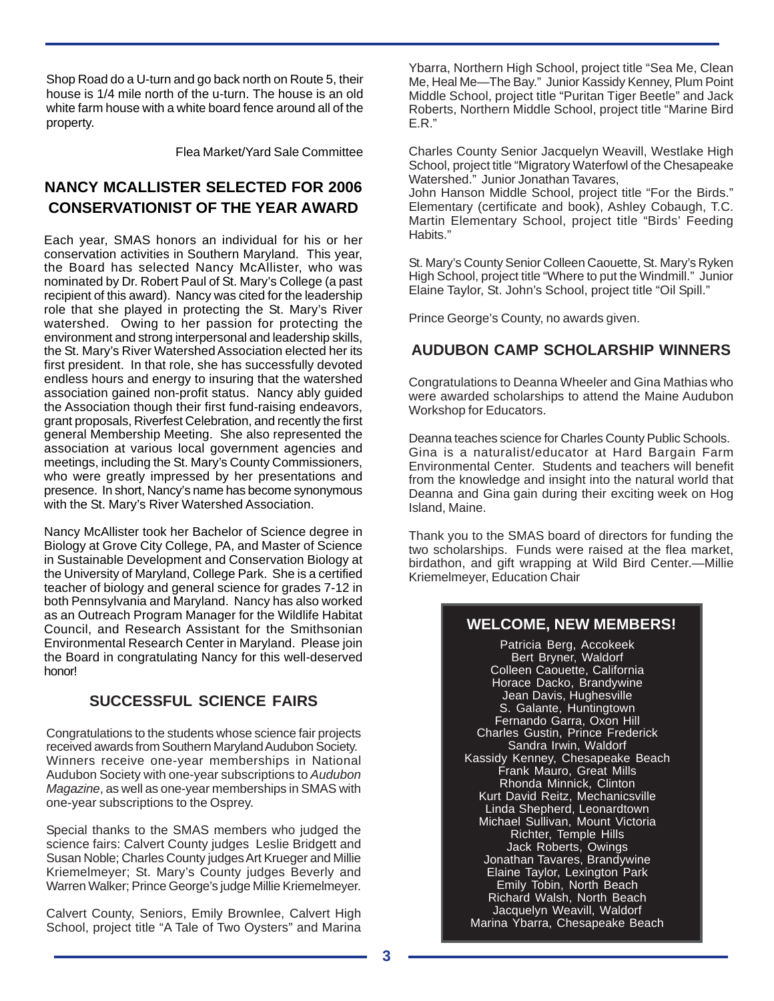Shop Road do a U-turn and go back north on Route 5, their house is 1/4 mile north of the u-turn. The house is an old white farm house with a white board fence around all of the property.

Flea Market/Yard Sale Committee

# **NANCY MCALLISTER SELECTED FOR 2006 CONSERVATIONIST OF THE YEAR AWARD**

Each year, SMAS honors an individual for his or her conservation activities in Southern Maryland. This year, the Board has selected Nancy McAllister, who was nominated by Dr. Robert Paul of St. Mary's College (a past recipient of this award). Nancy was cited for the leadership role that she played in protecting the St. Mary's River watershed. Owing to her passion for protecting the environment and strong interpersonal and leadership skills, the St. Mary's River Watershed Association elected her its first president. In that role, she has successfully devoted endless hours and energy to insuring that the watershed association gained non-profit status. Nancy ably guided the Association though their first fund-raising endeavors, grant proposals, Riverfest Celebration, and recently the first general Membership Meeting. She also represented the association at various local government agencies and meetings, including the St. Mary's County Commissioners, who were greatly impressed by her presentations and presence. In short, Nancy's name has become synonymous with the St. Mary's River Watershed Association.

Nancy McAllister took her Bachelor of Science degree in Biology at Grove City College, PA, and Master of Science in Sustainable Development and Conservation Biology at the University of Maryland, College Park. She is a certified teacher of biology and general science for grades 7-12 in both Pennsylvania and Maryland. Nancy has also worked as an Outreach Program Manager for the Wildlife Habitat Council, and Research Assistant for the Smithsonian Environmental Research Center in Maryland. Please join the Board in congratulating Nancy for this well-deserved honor!

## **SUCCESSFUL SCIENCE FAIRS**

Congratulations to the students whose science fair projects received awards from Southern Maryland Audubon Society. Winners receive one-year memberships in National Audubon Society with one-year subscriptions to Audubon Magazine, as well as one-year memberships in SMAS with one-year subscriptions to the Osprey.

Special thanks to the SMAS members who judged the science fairs: Calvert County judges Leslie Bridgett and Susan Noble; Charles County judges Art Krueger and Millie Kriemelmeyer; St. Mary's County judges Beverly and Warren Walker; Prince George's judge Millie Kriemelmeyer.

Calvert County, Seniors, Emily Brownlee, Calvert High School, project title "A Tale of Two Oysters" and Marina

Ybarra, Northern High School, project title "Sea Me, Clean Me, Heal Me—The Bay." Junior Kassidy Kenney, Plum Point Middle School, project title "Puritan Tiger Beetle" and Jack Roberts, Northern Middle School, project title "Marine Bird E.R."

Charles County Senior Jacquelyn Weavill, Westlake High School, project title "Migratory Waterfowl of the Chesapeake Watershed." Junior Jonathan Tavares,

John Hanson Middle School, project title "For the Birds." Elementary (certificate and book), Ashley Cobaugh, T.C. Martin Elementary School, project title "Birds' Feeding Habits."

St. Mary's County Senior Colleen Caouette, St. Mary's Ryken High School, project title "Where to put the Windmill." Junior Elaine Taylor, St. John's School, project title "Oil Spill."

Prince George's County, no awards given.

# **AUDUBON CAMP SCHOLARSHIP WINNERS**

Congratulations to Deanna Wheeler and Gina Mathias who were awarded scholarships to attend the Maine Audubon Workshop for Educators.

Deanna teaches science for Charles County Public Schools. Gina is a naturalist/educator at Hard Bargain Farm Environmental Center. Students and teachers will benefit from the knowledge and insight into the natural world that Deanna and Gina gain during their exciting week on Hog Island, Maine.

Thank you to the SMAS board of directors for funding the two scholarships. Funds were raised at the flea market, birdathon, and gift wrapping at Wild Bird Center.—Millie Kriemelmeyer, Education Chair

## **WELCOME, NEW MEMBERS!**

Patricia Berg, Accokeek Bert Bryner, Waldorf Colleen Caouette, California Horace Dacko, Brandywine Jean Davis, Hughesville S. Galante, Huntingtown Fernando Garra, Oxon Hill Charles Gustin, Prince Frederick Sandra Irwin, Waldorf Kassidy Kenney, Chesapeake Beach Frank Mauro, Great Mills Rhonda Minnick, Clinton Kurt David Reitz, Mechanicsville Linda Shepherd, Leonardtown Michael Sullivan, Mount Victoria Richter, Temple Hills Jack Roberts, Owings Jonathan Tavares, Brandywine Elaine Taylor, Lexington Park Emily Tobin, North Beach Richard Walsh, North Beach Jacquelyn Weavill, Waldorf Marina Ybarra, Chesapeake Beach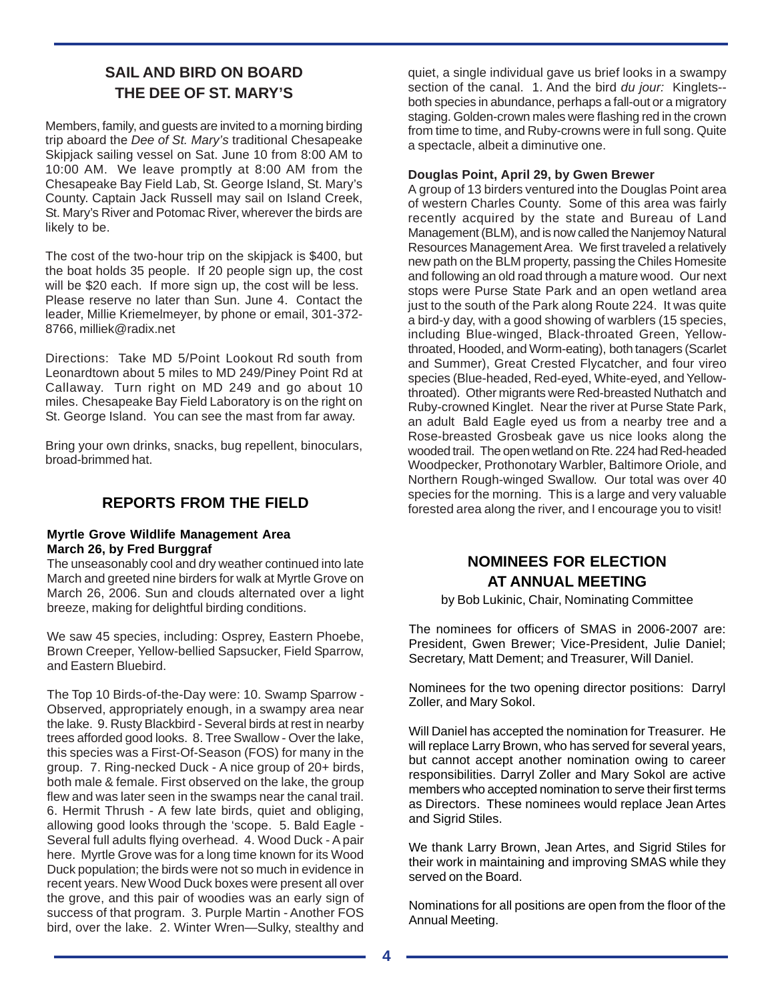# **SAIL AND BIRD ON BOARD THE DEE OF ST. MARY'S**

Members, family, and guests are invited to a morning birding trip aboard the Dee of St. Mary's traditional Chesapeake Skipjack sailing vessel on Sat. June 10 from 8:00 AM to 10:00 AM. We leave promptly at 8:00 AM from the Chesapeake Bay Field Lab, St. George Island, St. Mary's County. Captain Jack Russell may sail on Island Creek, St. Mary's River and Potomac River, wherever the birds are likely to be.

The cost of the two-hour trip on the skipjack is \$400, but the boat holds 35 people. If 20 people sign up, the cost will be \$20 each. If more sign up, the cost will be less. Please reserve no later than Sun. June 4. Contact the leader, Millie Kriemelmeyer, by phone or email, 301-372- 8766, milliek@radix.net

Directions: Take MD 5/Point Lookout Rd south from Leonardtown about 5 miles to MD 249/Piney Point Rd at Callaway. Turn right on MD 249 and go about 10 miles. Chesapeake Bay Field Laboratory is on the right on St. George Island. You can see the mast from far away.

Bring your own drinks, snacks, bug repellent, binoculars, broad-brimmed hat.

## **REPORTS FROM THE FIELD**

#### **Myrtle Grove Wildlife Management Area March 26, by Fred Burggraf**

The unseasonably cool and dry weather continued into late March and greeted nine birders for walk at Myrtle Grove on March 26, 2006. Sun and clouds alternated over a light breeze, making for delightful birding conditions.

We saw 45 species, including: Osprey, Eastern Phoebe, Brown Creeper, Yellow-bellied Sapsucker, Field Sparrow, and Eastern Bluebird.

The Top 10 Birds-of-the-Day were: 10. Swamp Sparrow - Observed, appropriately enough, in a swampy area near the lake. 9. Rusty Blackbird - Several birds at rest in nearby trees afforded good looks. 8. Tree Swallow - Over the lake, this species was a First-Of-Season (FOS) for many in the group. 7. Ring-necked Duck - A nice group of 20+ birds, both male & female. First observed on the lake, the group flew and was later seen in the swamps near the canal trail. 6. Hermit Thrush - A few late birds, quiet and obliging, allowing good looks through the 'scope. 5. Bald Eagle - Several full adults flying overhead. 4. Wood Duck - A pair here. Myrtle Grove was for a long time known for its Wood Duck population; the birds were not so much in evidence in recent years. New Wood Duck boxes were present all over the grove, and this pair of woodies was an early sign of success of that program. 3. Purple Martin - Another FOS bird, over the lake. 2. Winter Wren—Sulky, stealthy and

quiet, a single individual gave us brief looks in a swampy section of the canal. 1. And the bird du jour: Kinglets-both species in abundance, perhaps a fall-out or a migratory staging. Golden-crown males were flashing red in the crown from time to time, and Ruby-crowns were in full song. Quite a spectacle, albeit a diminutive one.

#### **Douglas Point, April 29, by Gwen Brewer**

A group of 13 birders ventured into the Douglas Point area of western Charles County. Some of this area was fairly recently acquired by the state and Bureau of Land Management (BLM), and is now called the Nanjemoy Natural Resources Management Area. We first traveled a relatively new path on the BLM property, passing the Chiles Homesite and following an old road through a mature wood. Our next stops were Purse State Park and an open wetland area just to the south of the Park along Route 224. It was quite a bird-y day, with a good showing of warblers (15 species, including Blue-winged, Black-throated Green, Yellowthroated, Hooded, and Worm-eating), both tanagers (Scarlet and Summer), Great Crested Flycatcher, and four vireo species (Blue-headed, Red-eyed, White-eyed, and Yellowthroated). Other migrants were Red-breasted Nuthatch and Ruby-crowned Kinglet. Near the river at Purse State Park, an adult Bald Eagle eyed us from a nearby tree and a Rose-breasted Grosbeak gave us nice looks along the wooded trail. The open wetland on Rte. 224 had Red-headed Woodpecker, Prothonotary Warbler, Baltimore Oriole, and Northern Rough-winged Swallow. Our total was over 40 species for the morning. This is a large and very valuable forested area along the river, and I encourage you to visit!

## **NOMINEES FOR ELECTION AT ANNUAL MEETING**

by Bob Lukinic, Chair, Nominating Committee

The nominees for officers of SMAS in 2006-2007 are: President, Gwen Brewer; Vice-President, Julie Daniel; Secretary, Matt Dement; and Treasurer, Will Daniel.

Nominees for the two opening director positions: Darryl Zoller, and Mary Sokol.

Will Daniel has accepted the nomination for Treasurer. He will replace Larry Brown, who has served for several years, but cannot accept another nomination owing to career responsibilities. Darryl Zoller and Mary Sokol are active members who accepted nomination to serve their first terms as Directors. These nominees would replace Jean Artes and Sigrid Stiles.

We thank Larry Brown, Jean Artes, and Sigrid Stiles for their work in maintaining and improving SMAS while they served on the Board.

Nominations for all positions are open from the floor of the Annual Meeting.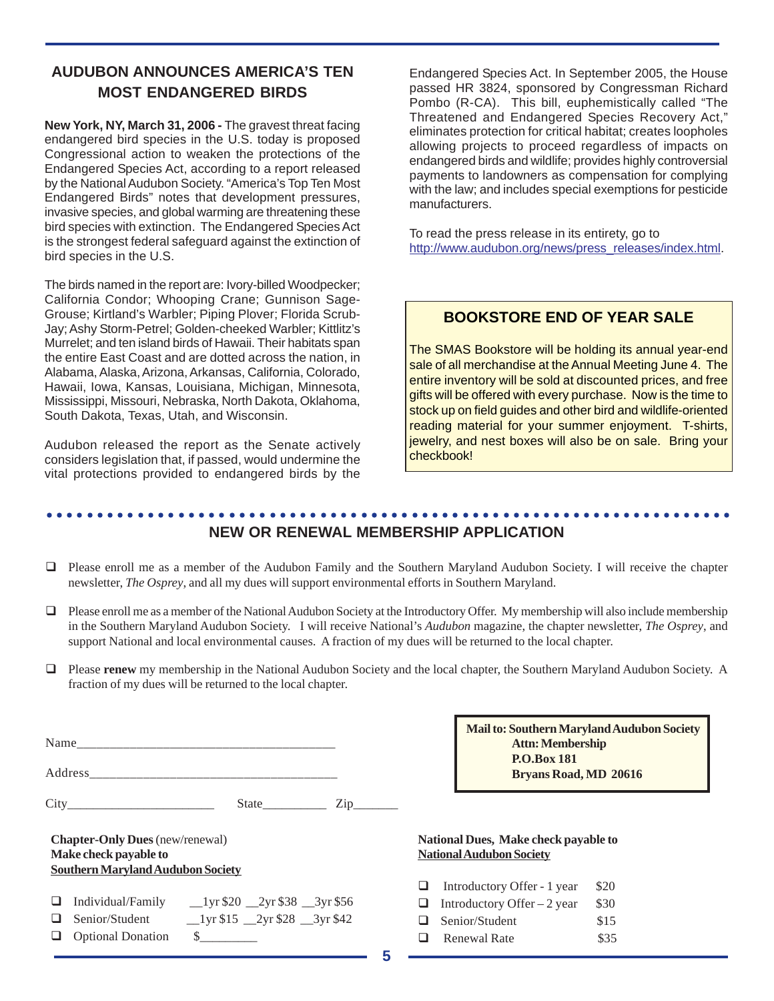# **AUDUBON ANNOUNCES AMERICA'S TEN MOST ENDANGERED BIRDS**

**New York, NY, March 31, 2006 -** The gravest threat facing endangered bird species in the U.S. today is proposed Congressional action to weaken the protections of the Endangered Species Act, according to a report released by the National Audubon Society. "America's Top Ten Most Endangered Birds" notes that development pressures, invasive species, and global warming are threatening these bird species with extinction. The Endangered Species Act is the strongest federal safeguard against the extinction of bird species in the U.S.

The birds named in the report are: Ivory-billed Woodpecker; California Condor; Whooping Crane; Gunnison Sage-Grouse; Kirtland's Warbler; Piping Plover; Florida Scrub-Jay; Ashy Storm-Petrel; Golden-cheeked Warbler; Kittlitz's Murrelet; and ten island birds of Hawaii. Their habitats span the entire East Coast and are dotted across the nation, in Alabama, Alaska, Arizona, Arkansas, California, Colorado, Hawaii, Iowa, Kansas, Louisiana, Michigan, Minnesota, Mississippi, Missouri, Nebraska, North Dakota, Oklahoma, South Dakota, Texas, Utah, and Wisconsin.

Audubon released the report as the Senate actively considers legislation that, if passed, would undermine the vital protections provided to endangered birds by the

Endangered Species Act. In September 2005, the House passed HR 3824, sponsored by Congressman Richard Pombo (R-CA). This bill, euphemistically called "The Threatened and Endangered Species Recovery Act," eliminates protection for critical habitat; creates loopholes allowing projects to proceed regardless of impacts on endangered birds and wildlife; provides highly controversial payments to landowners as compensation for complying with the law; and includes special exemptions for pesticide manufacturers.

To read the press release in its entirety, go to http://www.audubon.org/news/press\_releases/index.html.

### **BOOKSTORE END OF YEAR SALE**

The SMAS Bookstore will be holding its annual year-end sale of all merchandise at the Annual Meeting June 4. The entire inventory will be sold at discounted prices, and free gifts will be offered with every purchase. Now is the time to stock up on field guides and other bird and wildlife-oriented reading material for your summer enjoyment. T-shirts, jewelry, and nest boxes will also be on sale. Bring your checkbook!

#### ○○○○○○○○○○○○○○○○○○○○○○○○○○○○○○○○○○○○○○○○○○○○○ ○○○○○○○○○○○○○○○○○○○○○○○ **NEW OR RENEWAL MEMBERSHIP APPLICATION**

- ! Please enroll me as a member of the Audubon Family and the Southern Maryland Audubon Society. I will receive the chapter newsletter, *The Osprey*, and all my dues will support environmental efforts in Southern Maryland.
- ! Please enroll me as a member of the National Audubon Society at the Introductory Offer.My membership will also include membership in the Southern Maryland Audubon Society. I will receive National's *Audubon* magazine, the chapter newsletter, *The Osprey*, and support National and local environmental causes. A fraction of my dues will be returned to the local chapter.
- ! Please **renew** my membership in the National Audubon Society and the local chapter, the Southern Maryland Audubon Society. A fraction of my dues will be returned to the local chapter.

|                                                                                                             |  |                                                               | $\mathsf{Zip}\_$ |  |  |
|-------------------------------------------------------------------------------------------------------------|--|---------------------------------------------------------------|------------------|--|--|
| <b>Chapter-Only Dues</b> (new/renewal)<br>Make check payable to<br><b>Southern Maryland Audubon Society</b> |  |                                                               |                  |  |  |
| ⊔                                                                                                           |  | Individual/Family $_{20}$ $_{2yr}$ \$20 $_{2yr}$ \$38 $_{30}$ |                  |  |  |
|                                                                                                             |  | Senior/Student 1yr \$15 2yr \$28 3yr \$42                     |                  |  |  |

! Optional Donation \$\_\_\_\_\_\_\_\_\_

**Mail to: Southern Maryland Audubon Society Attn: Membership P.O.Box 181 Bryans Road, MD 20616**

**National Dues, Make check payable to National Audubon Society**

| ப | Introductory Offer - 1 year  | \$20 |
|---|------------------------------|------|
| ⊔ | Introductory Offer $-2$ year | \$30 |
|   | $\Box$ Senior/Student        | \$15 |
| ⊔ | <b>Renewal Rate</b>          | \$35 |

**5**